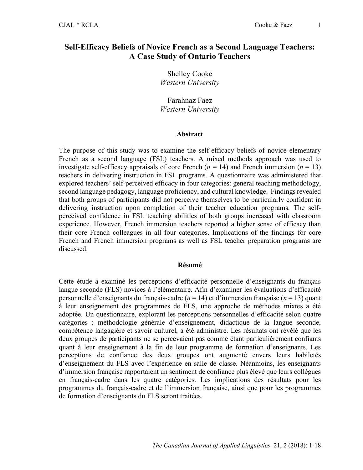# **Self-Efficacy Beliefs of Novice French as a Second Language Teachers: A Case Study of Ontario Teachers**

Shelley Cooke *Western University*

Farahnaz Faez *Western University*

#### **Abstract**

The purpose of this study was to examine the self-efficacy beliefs of novice elementary French as a second language (FSL) teachers. A mixed methods approach was used to investigate self-efficacy appraisals of core French  $(n = 14)$  and French immersion  $(n = 13)$ teachers in delivering instruction in FSL programs. A questionnaire was administered that explored teachers' self-perceived efficacy in four categories: general teaching methodology, second language pedagogy, language proficiency, and cultural knowledge. Findings revealed that both groups of participants did not perceive themselves to be particularly confident in delivering instruction upon completion of their teacher education programs. The selfperceived confidence in FSL teaching abilities of both groups increased with classroom experience. However, French immersion teachers reported a higher sense of efficacy than their core French colleagues in all four categories. Implications of the findings for core French and French immersion programs as well as FSL teacher preparation programs are discussed.

#### **Résumé**

Cette étude a examiné les perceptions d'efficacité personnelle d'enseignants du français langue seconde (FLS) novices à l'élémentaire. Afin d'examiner les évaluations d'efficacité personnelle d'enseignants du français-cadre (*n* = 14) et d'immersion française (*n* = 13) quant à leur enseignement des programmes de FLS, une approche de méthodes mixtes a été adoptée. Un questionnaire, explorant les perceptions personnelles d'efficacité selon quatre catégories : méthodologie générale d'enseignement, didactique de la langue seconde, compétence langagière et savoir culturel, a été administré. Les résultats ont révélé que les deux groupes de participants ne se percevaient pas comme étant particulièrement confiants quant à leur enseignement à la fin de leur programme de formation d'enseignants. Les perceptions de confiance des deux groupes ont augmenté envers leurs habiletés d'enseignement du FLS avec l'expérience en salle de classe. Néanmoins, les enseignants d'immersion française rapportaient un sentiment de confiance plus élevé que leurs collègues en français-cadre dans les quatre catégories. Les implications des résultats pour les programmes du français-cadre et de l'immersion française, ainsi que pour les programmes de formation d'enseignants du FLS seront traitées.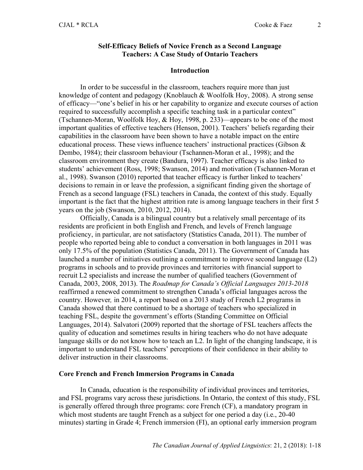### **Self-Efficacy Beliefs of Novice French as a Second Language Teachers: A Case Study of Ontario Teachers**

#### **Introduction**

In order to be successful in the classroom, teachers require more than just knowledge of content and pedagogy (Knoblauch & Woolfolk Hoy, 2008). A strong sense of efficacy—"one's belief in his or her capability to organize and execute courses of action required to successfully accomplish a specific teaching task in a particular context" (Tschannen-Moran, Woolfolk Hoy, & Hoy, 1998, p. 233)—appears to be one of the most important qualities of effective teachers (Henson, 2001). Teachers' beliefs regarding their capabilities in the classroom have been shown to have a notable impact on the entire educational process. These views influence teachers' instructional practices (Gibson & Dembo, 1984); their classroom behaviour (Tschannen-Moran et al., 1998); and the classroom environment they create (Bandura, 1997). Teacher efficacy is also linked to students' achievement (Ross, 1998; Swanson, 2014) and motivation (Tschannen-Moran et al., 1998). Swanson (2010) reported that teacher efficacy is further linked to teachers' decisions to remain in or leave the profession, a significant finding given the shortage of French as a second language (FSL) teachers in Canada, the context of this study. Equally important is the fact that the highest attrition rate is among language teachers in their first 5 years on the job (Swanson, 2010, 2012, 2014).

Officially, Canada is a bilingual country but a relatively small percentage of its residents are proficient in both English and French, and levels of French language proficiency, in particular, are not satisfactory (Statistics Canada, 2011). The number of people who reported being able to conduct a conversation in both languages in 2011 was only 17.5% of the population (Statistics Canada, 2011). The Government of Canada has launched a number of initiatives outlining a commitment to improve second language (L2) programs in schools and to provide provinces and territories with financial support to recruit L2 specialists and increase the number of qualified teachers (Government of Canada, 2003, 2008, 2013). The *Roadmap for Canada's Official Languages 2013-2018* reaffirmed a renewed commitment to strengthen Canada's official languages across the country. However*,* in 2014, a report based on a 2013 study of French L2 programs in Canada showed that there continued to be a shortage of teachers who specialized in teaching FSL, despite the government's efforts (Standing Committee on Official Languages, 2014). Salvatori (2009) reported that the shortage of FSL teachers affects the quality of education and sometimes results in hiring teachers who do not have adequate language skills or do not know how to teach an L2. In light of the changing landscape, it is important to understand FSL teachers' perceptions of their confidence in their ability to deliver instruction in their classrooms.

#### **Core French and French Immersion Programs in Canada**

In Canada, education is the responsibility of individual provinces and territories, and FSL programs vary across these jurisdictions. In Ontario, the context of this study, FSL is generally offered through three programs: core French (CF), a mandatory program in which most students are taught French as a subject for one period a day (i.e., 20-40) minutes) starting in Grade 4; French immersion (FI), an optional early immersion program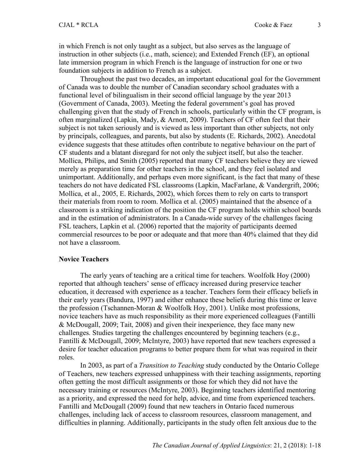in which French is not only taught as a subject, but also serves as the language of instruction in other subjects (i.e., math, science); and Extended French (EF), an optional late immersion program in which French is the language of instruction for one or two foundation subjects in addition to French as a subject.

Throughout the past two decades, an important educational goal for the Government of Canada was to double the number of Canadian secondary school graduates with a functional level of bilingualism in their second official language by the year 2013 (Government of Canada, 2003). Meeting the federal government's goal has proved challenging given that the study of French in schools, particularly within the CF program, is often marginalized (Lapkin, Mady, & Arnott, 2009). Teachers of CF often feel that their subject is not taken seriously and is viewed as less important than other subjects, not only by principals, colleagues, and parents, but also by students (E. Richards, 2002). Anecdotal evidence suggests that these attitudes often contribute to negative behaviour on the part of CF students and a blatant disregard for not only the subject itself, but also the teacher. Mollica, Philips, and Smith (2005) reported that many CF teachers believe they are viewed merely as preparation time for other teachers in the school, and they feel isolated and unimportant. Additionally, and perhaps even more significant, is the fact that many of these teachers do not have dedicated FSL classrooms (Lapkin, MacFarlane, & Vandergrift, 2006; Mollica, et al., 2005, E. Richards, 2002), which forces them to rely on carts to transport their materials from room to room. Mollica et al. (2005) maintained that the absence of a classroom is a striking indication of the position the CF program holds within school boards and in the estimation of administrators. In a Canada-wide survey of the challenges facing FSL teachers, Lapkin et al. (2006) reported that the majority of participants deemed commercial resources to be poor or adequate and that more than 40% claimed that they did not have a classroom.

#### **Novice Teachers**

The early years of teaching are a critical time for teachers. Woolfolk Hoy (2000) reported that although teachers' sense of efficacy increased during preservice teacher education, it decreased with experience as a teacher. Teachers form their efficacy beliefs in their early years (Bandura, 1997) and either enhance these beliefs during this time or leave the profession (Tschannen-Moran & Woolfolk Hoy, 2001). Unlike most professions, novice teachers have as much responsibility as their more experienced colleagues (Fantilli & McDougall, 2009; Tait, 2008) and given their inexperience, they face many new challenges. Studies targeting the challenges encountered by beginning teachers (e.g., Fantilli & McDougall, 2009; McIntyre, 2003) have reported that new teachers expressed a desire for teacher education programs to better prepare them for what was required in their roles.

In 2003, as part of a *Transition to Teaching* study conducted by the Ontario College of Teachers, new teachers expressed unhappiness with their teaching assignments, reporting often getting the most difficult assignments or those for which they did not have the necessary training or resources (McIntyre, 2003). Beginning teachers identified mentoring as a priority, and expressed the need for help, advice, and time from experienced teachers. Fantilli and McDougall (2009) found that new teachers in Ontario faced numerous challenges, including lack of access to classroom resources, classroom management, and difficulties in planning. Additionally, participants in the study often felt anxious due to the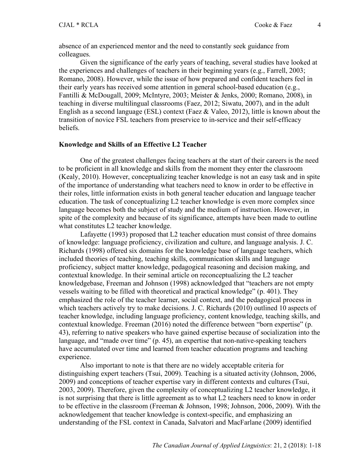absence of an experienced mentor and the need to constantly seek guidance from colleagues.

Given the significance of the early years of teaching, several studies have looked at the experiences and challenges of teachers in their beginning years (e.g., Farrell, 2003; Romano, 2008). However, while the issue of how prepared and confident teachers feel in their early years has received some attention in general school-based education (e.g., Fantilli & McDougall, 2009; McIntyre, 2003; Meister & Jenks, 2000; Romano, 2008), in teaching in diverse multilingual classrooms (Faez, 2012; Siwatu, 2007), and in the adult English as a second language (ESL) context (Faez & Valeo, 2012), little is known about the transition of novice FSL teachers from preservice to in-service and their self-efficacy beliefs.

#### **Knowledge and Skills of an Effective L2 Teacher**

One of the greatest challenges facing teachers at the start of their careers is the need to be proficient in all knowledge and skills from the moment they enter the classroom (Kealy, 2010). However, conceptualizing teacher knowledge is not an easy task and in spite of the importance of understanding what teachers need to know in order to be effective in their roles, little information exists in both general teacher education and language teacher education. The task of conceptualizing L2 teacher knowledge is even more complex since language becomes both the subject of study and the medium of instruction. However, in spite of the complexity and because of its significance, attempts have been made to outline what constitutes L2 teacher knowledge.

Lafayette (1993) proposed that L2 teacher education must consist of three domains of knowledge: language proficiency, civilization and culture, and language analysis. J. C. Richards (1998) offered six domains for the knowledge base of language teachers, which included theories of teaching, teaching skills, communication skills and language proficiency, subject matter knowledge, pedagogical reasoning and decision making, and contextual knowledge. In their seminal article on reconceptualizing the L2 teacher knowledgebase, Freeman and Johnson (1998) acknowledged that "teachers are not empty vessels waiting to be filled with theoretical and practical knowledge" (p. 401). They emphasized the role of the teacher learner, social context, and the pedagogical process in which teachers actively try to make decisions. J. C. Richards (2010) outlined 10 aspects of teacher knowledge, including language proficiency, content knowledge, teaching skills, and contextual knowledge. Freeman (2016) noted the difference between "born expertise" (p. 43), referring to native speakers who have gained expertise because of socialization into the language, and "made over time" (p. 45), an expertise that non-native-speaking teachers have accumulated over time and learned from teacher education programs and teaching experience.

Also important to note is that there are no widely acceptable criteria for distinguishing expert teachers (Tsui, 2009). Teaching is a situated activity (Johnson, 2006, 2009) and conceptions of teacher expertise vary in different contexts and cultures (Tsui, 2003, 2009). Therefore, given the complexity of conceptualizing L2 teacher knowledge, it is not surprising that there is little agreement as to what L2 teachers need to know in order to be effective in the classroom (Freeman & Johnson, 1998; Johnson, 2006, 2009). With the acknowledgement that teacher knowledge is context-specific, and emphasizing an understanding of the FSL context in Canada, Salvatori and MacFarlane (2009) identified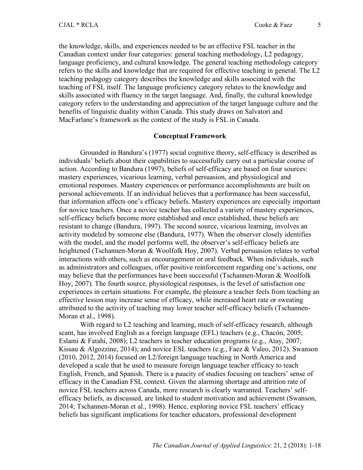the knowledge, skills, and experiences needed to be an effective FSL teacher in the Canadian context under four categories: general teaching methodology, L2 pedagogy, language proficiency, and cultural knowledge. The general teaching methodology category refers to the skills and knowledge that are required for effective teaching in general. The L2 teaching pedagogy category describes the knowledge and skills associated with the teaching of FSL itself. The language proficiency category relates to the knowledge and skills associated with fluency in the target language. And, finally, the cultural knowledge category refers to the understanding and appreciation of the target language culture and the benefits of linguistic duality within Canada. This study draws on Salvatori and MacFarlane's framework as the context of the study is FSL in Canada.

#### **Conceptual Framework**

Grounded in Bandura's (1977) social cognitive theory, self-efficacy is described as individuals' beliefs about their capabilities to successfully carry out a particular course of action. According to Bandura (1997), beliefs of self-efficacy are based on four sources: mastery experiences, vicarious learning, verbal persuasion, and physiological and emotional responses. Mastery experiences or performance accomplishments are built on personal achievements. If an individual believes that a performance has been successful, that information affects one's efficacy beliefs. Mastery experiences are especially important for novice teachers. Once a novice teacher has collected a variety of mastery experiences, self-efficacy beliefs become more established and once established, these beliefs are resistant to change (Bandura, 1997). The second source, vicarious learning, involves an activity modeled by someone else (Bandura, 1977). When the observer closely identifies with the model, and the model performs well, the observer's self-efficacy beliefs are heightened (Tschannen-Moran & Woolfolk Hoy, 2007). Verbal persuasion relates to verbal interactions with others, such as encouragement or oral feedback. When individuals, such as administrators and colleagues, offer positive reinforcement regarding one's actions, one may believe that the performances have been successful (Tschannen-Moran & Woolfolk Hoy, 2007). The fourth source, physiological responses, is the level of satisfaction one experiences in certain situations. For example, the pleasure a teacher feels from teaching an effective lesson may increase sense of efficacy, while increased heart rate or sweating attributed to the activity of teaching may lower teacher self-efficacy beliefs (Tschannen-Moran et al., 1998).

With regard to L2 teaching and learning, much of self-efficacy research, although scant, has involved English as a foreign language (EFL) teachers (e.g., Chacón, 2005; Eslami & Fatahi, 2008); L2 teachers in teacher education programs (e.g., Atay, 2007; Kissau & Algozzine, 2014); and novice ESL teachers (e.g., Faez & Valeo, 2012). Swanson (2010, 2012, 2014) focused on L2/foreign language teaching in North America and developed a scale that he used to measure foreign language teacher efficacy to teach English, French, and Spanish. There is a paucity of studies focusing on teachers' sense of efficacy in the Canadian FSL context. Given the alarming shortage and attrition rate of novice FSL teachers across Canada, more research is clearly warranted. Teachers' selfefficacy beliefs, as discussed, are linked to student motivation and achievement (Swanson, 2014; Tschannen-Moran et al., 1998). Hence, exploring novice FSL teachers' efficacy beliefs has significant implications for teacher educators, professional development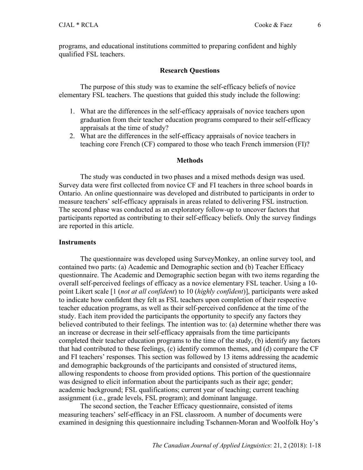programs, and educational institutions committed to preparing confident and highly qualified FSL teachers.

#### **Research Questions**

The purpose of this study was to examine the self-efficacy beliefs of novice elementary FSL teachers. The questions that guided this study include the following:

- 1. What are the differences in the self-efficacy appraisals of novice teachers upon graduation from their teacher education programs compared to their self-efficacy appraisals at the time of study?
- 2. What are the differences in the self-efficacy appraisals of novice teachers in teaching core French (CF) compared to those who teach French immersion (FI)?

#### **Methods**

The study was conducted in two phases and a mixed methods design was used. Survey data were first collected from novice CF and FI teachers in three school boards in Ontario. An online questionnaire was developed and distributed to participants in order to measure teachers' self-efficacy appraisals in areas related to delivering FSL instruction. The second phase was conducted as an exploratory follow-up to uncover factors that participants reported as contributing to their self-efficacy beliefs. Only the survey findings are reported in this article.

#### **Instruments**

The questionnaire was developed using SurveyMonkey, an online survey tool, and contained two parts: (a) Academic and Demographic section and (b) Teacher Efficacy questionnaire. The Academic and Demographic section began with two items regarding the overall self-perceived feelings of efficacy as a novice elementary FSL teacher. Using a 10 point Likert scale [1 (*not at all confident*) to 10 (*highly confident*)], participants were asked to indicate how confident they felt as FSL teachers upon completion of their respective teacher education programs, as well as their self-perceived confidence at the time of the study. Each item provided the participants the opportunity to specify any factors they believed contributed to their feelings. The intention was to: (a) determine whether there was an increase or decrease in their self-efficacy appraisals from the time participants completed their teacher education programs to the time of the study, (b) identify any factors that had contributed to these feelings, (c) identify common themes, and (d) compare the CF and FI teachers' responses. This section was followed by 13 items addressing the academic and demographic backgrounds of the participants and consisted of structured items, allowing respondents to choose from provided options. This portion of the questionnaire was designed to elicit information about the participants such as their age; gender; academic background; FSL qualifications; current year of teaching; current teaching assignment (i.e., grade levels, FSL program); and dominant language.

The second section, the Teacher Efficacy questionnaire, consisted of items measuring teachers' self-efficacy in an FSL classroom. A number of documents were examined in designing this questionnaire including Tschannen-Moran and Woolfolk Hoy's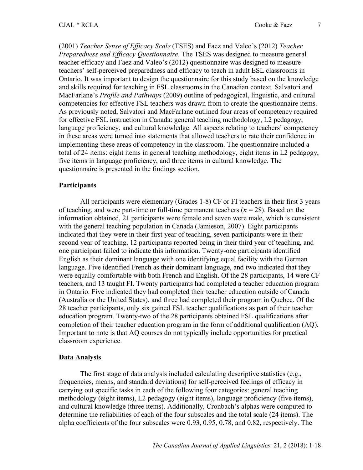(2001) *Teacher Sense of Efficacy Scale* (TSES) and Faez and Valeo's (2012) *Teacher Preparedness and Efficacy Questionnaire*. The TSES was designed to measure general teacher efficacy and Faez and Valeo's (2012) questionnaire was designed to measure teachers' self-perceived preparedness and efficacy to teach in adult ESL classrooms in Ontario. It was important to design the questionnaire for this study based on the knowledge and skills required for teaching in FSL classrooms in the Canadian context. Salvatori and MacFarlane's *Profile and Pathways* (2009) outline of pedagogical, linguistic, and cultural competencies for effective FSL teachers was drawn from to create the questionnaire items. As previously noted, Salvatori and MacFarlane outlined four areas of competency required for effective FSL instruction in Canada: general teaching methodology, L2 pedagogy, language proficiency, and cultural knowledge. All aspects relating to teachers' competency in these areas were turned into statements that allowed teachers to rate their confidence in implementing these areas of competency in the classroom. The questionnaire included a total of 24 items: eight items in general teaching methodology, eight items in L2 pedagogy, five items in language proficiency, and three items in cultural knowledge. The questionnaire is presented in the findings section.

### **Participants**

All participants were elementary (Grades 1-8) CF or FI teachers in their first 3 years of teaching, and were part-time or full-time permanent teachers  $(n = 28)$ . Based on the information obtained, 21 participants were female and seven were male, which is consistent with the general teaching population in Canada (Jamieson, 2007). Eight participants indicated that they were in their first year of teaching, seven participants were in their second year of teaching, 12 participants reported being in their third year of teaching, and one participant failed to indicate this information. Twenty-one participants identified English as their dominant language with one identifying equal facility with the German language. Five identified French as their dominant language, and two indicated that they were equally comfortable with both French and English. Of the 28 participants, 14 were CF teachers, and 13 taught FI. Twenty participants had completed a teacher education program in Ontario. Five indicated they had completed their teacher education outside of Canada (Australia or the United States), and three had completed their program in Quebec. Of the 28 teacher participants, only six gained FSL teacher qualifications as part of their teacher education program. Twenty-two of the 28 participants obtained FSL qualifications after completion of their teacher education program in the form of additional qualification (AQ). Important to note is that AQ courses do not typically include opportunities for practical classroom experience.

#### **Data Analysis**

The first stage of data analysis included calculating descriptive statistics (e.g., frequencies, means, and standard deviations) for self-perceived feelings of efficacy in carrying out specific tasks in each of the following four categories: general teaching methodology (eight items), L2 pedagogy (eight items), language proficiency (five items), and cultural knowledge (three items). Additionally, Cronbach's alphas were computed to determine the reliabilities of each of the four subscales and the total scale (24 items). The alpha coefficients of the four subscales were 0.93, 0.95, 0.78, and 0.82, respectively. The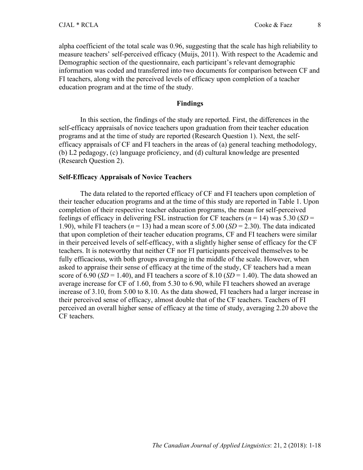alpha coefficient of the total scale was 0.96, suggesting that the scale has high reliability to measure teachers' self-perceived efficacy (Muijs, 2011). With respect to the Academic and Demographic section of the questionnaire, each participant's relevant demographic information was coded and transferred into two documents for comparison between CF and FI teachers, along with the perceived levels of efficacy upon completion of a teacher education program and at the time of the study.

### **Findings**

In this section, the findings of the study are reported. First, the differences in the self-efficacy appraisals of novice teachers upon graduation from their teacher education programs and at the time of study are reported (Research Question 1). Next, the selfefficacy appraisals of CF and FI teachers in the areas of (a) general teaching methodology, (b) L2 pedagogy, (c) language proficiency, and (d) cultural knowledge are presented (Research Question 2).

#### **Self-Efficacy Appraisals of Novice Teachers**

The data related to the reported efficacy of CF and FI teachers upon completion of their teacher education programs and at the time of this study are reported in Table 1. Upon completion of their respective teacher education programs, the mean for self-perceived feelings of efficacy in delivering FSL instruction for CF teachers ( $n = 14$ ) was 5.30 (*SD* = 1.90), while FI teachers ( $n = 13$ ) had a mean score of 5.00 ( $SD = 2.30$ ). The data indicated that upon completion of their teacher education programs, CF and FI teachers were similar in their perceived levels of self-efficacy, with a slightly higher sense of efficacy for the CF teachers. It is noteworthy that neither CF nor FI participants perceived themselves to be fully efficacious, with both groups averaging in the middle of the scale. However, when asked to appraise their sense of efficacy at the time of the study, CF teachers had a mean score of  $6.90$  (*SD* = 1.40), and FI teachers a score of  $8.10$  (*SD* = 1.40). The data showed an average increase for CF of 1.60, from 5.30 to 6.90, while FI teachers showed an average increase of 3.10, from 5.00 to 8.10. As the data showed, FI teachers had a larger increase in their perceived sense of efficacy, almost double that of the CF teachers. Teachers of FI perceived an overall higher sense of efficacy at the time of study, averaging 2.20 above the CF teachers.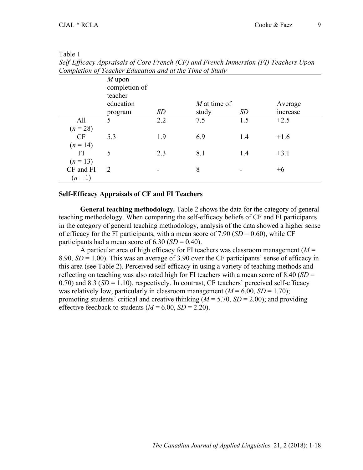| ٠ |  |
|---|--|
|   |  |

*Self-Efficacy Appraisals of Core French (CF) and French Immersion (FI) Teachers Upon Completion of Teacher Education and at the Time of Study*

|                         | $M$ upon<br>completion of<br>teacher<br>education |     | $M$ at time of |     | Average  |
|-------------------------|---------------------------------------------------|-----|----------------|-----|----------|
|                         | program                                           | SD  | study          | SD  | increase |
| All<br>$(n = 28)$       | 5                                                 | 2.2 | 7.5            | 1.5 | $+2.5$   |
| <b>CF</b><br>$(n = 14)$ | 5.3                                               | 1.9 | 6.9            | 1.4 | $+1.6$   |
| FI<br>$(n = 13)$        | 5                                                 | 2.3 | 8.1            | 1.4 | $+3.1$   |
| CF and FI<br>$(n=1)$    | 2                                                 |     | 8              |     | $+6$     |

#### **Self-Efficacy Appraisals of CF and FI Teachers**

**General teaching methodology.** Table 2 shows the data for the category of general teaching methodology. When comparing the self-efficacy beliefs of CF and FI participants in the category of general teaching methodology, analysis of the data showed a higher sense of efficacy for the FI participants, with a mean score of  $7.90$  (*SD* = 0.60), while CF participants had a mean score of  $6.30$  (*SD* = 0.40).

A particular area of high efficacy for FI teachers was classroom management  $(M =$ 8.90,  $SD = 1.00$ ). This was an average of 3.90 over the CF participants' sense of efficacy in this area (see Table 2). Perceived self-efficacy in using a variety of teaching methods and reflecting on teaching was also rated high for FI teachers with a mean score of 8.40 (*SD* = 0.70) and 8.3 (*SD* = 1.10), respectively. In contrast, CF teachers' perceived self-efficacy was relatively low, particularly in classroom management  $(M = 6.00, SD = 1.70)$ ; promoting students' critical and creative thinking  $(M = 5.70, SD = 2.00)$ ; and providing effective feedback to students  $(M = 6.00, SD = 2.20)$ .

9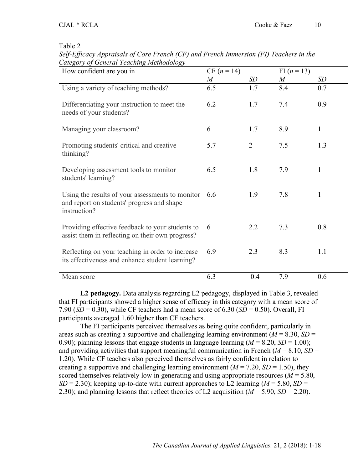*Self-Efficacy Appraisals of Core French (CF) and French Immersion (FI) Teachers in the Category of General Teaching Methodology*

| How confident are you in                                                                                             | $CF (n = 14)$    |                | FI $(n = 13)$    |              |
|----------------------------------------------------------------------------------------------------------------------|------------------|----------------|------------------|--------------|
|                                                                                                                      | $\boldsymbol{M}$ | SD             | $\boldsymbol{M}$ | SD           |
| Using a variety of teaching methods?                                                                                 | 6.5              | 1.7            | 8.4              | 0.7          |
| Differentiating your instruction to meet the<br>needs of your students?                                              | 6.2              | 1.7            | 7.4              | 0.9          |
| Managing your classroom?                                                                                             | 6                | 1.7            | 8.9              | $\mathbf{1}$ |
| Promoting students' critical and creative<br>thinking?                                                               | 5.7              | $\overline{2}$ | 7.5              | 1.3          |
| Developing assessment tools to monitor<br>students' learning?                                                        | 6.5              | 1.8            | 7.9              | $\mathbf{1}$ |
| Using the results of your assessments to monitor $6.6$<br>and report on students' progress and shape<br>instruction? |                  | 1.9            | 7.8              | $\mathbf{1}$ |
| Providing effective feedback to your students to<br>assist them in reflecting on their own progress?                 | 6                | 2.2            | 7.3              | 0.8          |
| Reflecting on your teaching in order to increase<br>its effectiveness and enhance student learning?                  | 6.9              | 2.3            | 8.3              | 1.1          |
| Mean score                                                                                                           | 6.3              | 0.4            | 7.9              | 0.6          |

**L2 pedagogy.** Data analysis regarding L2 pedagogy, displayed in Table 3, revealed that FI participants showed a higher sense of efficacy in this category with a mean score of 7.90 ( $SD = 0.30$ ), while CF teachers had a mean score of  $6.30$  ( $SD = 0.50$ ). Overall, FI participants averaged 1.60 higher than CF teachers.

The FI participants perceived themselves as being quite confident, particularly in areas such as creating a supportive and challenging learning environment ( $M = 8.30$ ,  $SD =$ 0.90); planning lessons that engage students in language learning  $(M = 8.20, SD = 1.00)$ ; and providing activities that support meaningful communication in French  $(M = 8.10, SD =$ 1.20). While CF teachers also perceived themselves as fairly confident in relation to creating a supportive and challenging learning environment ( $M = 7.20$ ,  $SD = 1.50$ ), they scored themselves relatively low in generating and using appropriate resources ( $M = 5.80$ , *SD* = 2.30); keeping up-to-date with current approaches to L2 learning ( $M = 5.80$ , *SD* = 2.30); and planning lessons that reflect theories of L2 acquisition (*M* = 5.90, *SD* = 2.20).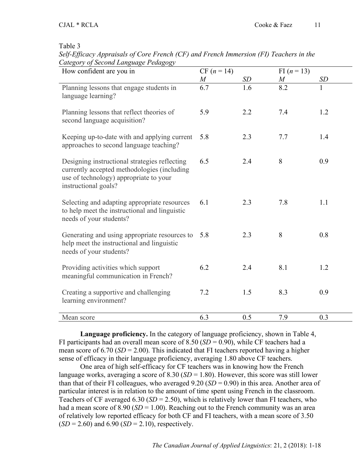*Self-Efficacy Appraisals of Core French (CF) and French Immersion (FI) Teachers in the Category of Second Language Pedagogy*

| How confident are you in                                                                                                                                       | $CF (n = 14)$ |     | FI $(n = 13)$    |           |
|----------------------------------------------------------------------------------------------------------------------------------------------------------------|---------------|-----|------------------|-----------|
|                                                                                                                                                                | $\,M_{\rm}$   | SD  | $\boldsymbol{M}$ | <i>SD</i> |
| Planning lessons that engage students in<br>language learning?                                                                                                 | 6.7           | 1.6 | $\overline{8.2}$ |           |
| Planning lessons that reflect theories of<br>second language acquisition?                                                                                      | 5.9           | 2.2 | 7.4              | 1.2       |
| Keeping up-to-date with and applying current<br>approaches to second language teaching?                                                                        | 5.8           | 2.3 | 7.7              | 1.4       |
| Designing instructional strategies reflecting<br>currently accepted methodologies (including<br>use of technology) appropriate to your<br>instructional goals? | 6.5           | 2.4 | 8                | 0.9       |
| Selecting and adapting appropriate resources<br>to help meet the instructional and linguistic<br>needs of your students?                                       | 6.1           | 2.3 | 7.8              | 1.1       |
| Generating and using appropriate resources to<br>help meet the instructional and linguistic<br>needs of your students?                                         | 5.8           | 2.3 | 8                | 0.8       |
| Providing activities which support<br>meaningful communication in French?                                                                                      | 6.2           | 2.4 | 8.1              | 1.2       |
| Creating a supportive and challenging<br>learning environment?                                                                                                 | 7.2           | 1.5 | 8.3              | 0.9       |
| Mean score                                                                                                                                                     | 6.3           | 0.5 | 7.9              | 0.3       |

**Language proficiency.** In the category of language proficiency, shown in Table 4, FI participants had an overall mean score of  $8.50$  (*SD* = 0.90), while CF teachers had a mean score of  $6.70$  ( $SD = 2.00$ ). This indicated that FI teachers reported having a higher sense of efficacy in their language proficiency, averaging 1.80 above CF teachers.

One area of high self-efficacy for CF teachers was in knowing how the French language works, averaging a score of 8.30 (*SD* = 1.80). However, this score was still lower than that of their FI colleagues, who averaged  $9.20$  (*SD* = 0.90) in this area. Another area of particular interest is in relation to the amount of time spent using French in the classroom. Teachers of CF averaged 6.30 ( $SD = 2.50$ ), which is relatively lower than FI teachers, who had a mean score of 8.90 (*SD* = 1.00). Reaching out to the French community was an area of relatively low reported efficacy for both CF and FI teachers, with a mean score of 3.50  $(SD = 2.60)$  and  $6.90$   $(SD = 2.10)$ , respectively.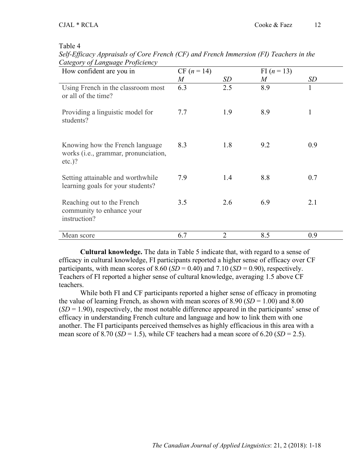*Self-Efficacy Appraisals of Core French (CF) and French Immersion (FI) Teachers in the Category of Language Proficiency*

| Calegory of Language Proficiency                                                              |                |                |                  |     |
|-----------------------------------------------------------------------------------------------|----------------|----------------|------------------|-----|
| How confident are you in                                                                      | $CF (n = 14)$  |                | FI $(n = 13)$    |     |
|                                                                                               | $\overline{M}$ | SD             | $\boldsymbol{M}$ | SD  |
| Using French in the classroom most<br>or all of the time?                                     | 6.3            | 2.5            | 8.9              | 1   |
| Providing a linguistic model for<br>students?                                                 | 7.7            | 1.9            | 8.9              |     |
| Knowing how the French language<br>works ( <i>i.e.</i> , grammar, pronunciation,<br>$etc.$ )? | 8.3            | 1.8            | 9.2              | 0.9 |
| Setting attainable and worthwhile<br>learning goals for your students?                        | 7.9            | 1.4            | 8.8              | 0.7 |
| Reaching out to the French<br>community to enhance your<br>instruction?                       | 3.5            | 2.6            | 6.9              | 2.1 |
| Mean score                                                                                    | 6.7            | $\overline{2}$ | 8.5              | 0.9 |

**Cultural knowledge.** The data in Table 5 indicate that, with regard to a sense of efficacy in cultural knowledge, FI participants reported a higher sense of efficacy over CF participants, with mean scores of  $8.60$  (*SD* = 0.40) and  $7.10$  (*SD* = 0.90), respectively. Teachers of FI reported a higher sense of cultural knowledge, averaging 1.5 above CF teachers.

While both FI and CF participants reported a higher sense of efficacy in promoting the value of learning French, as shown with mean scores of  $8.90$  (*SD* = 1.00) and  $8.00$  $(SD = 1.90)$ , respectively, the most notable difference appeared in the participants' sense of efficacy in understanding French culture and language and how to link them with one another. The FI participants perceived themselves as highly efficacious in this area with a mean score of 8.70 ( $SD = 1.5$ ), while CF teachers had a mean score of 6.20 ( $SD = 2.5$ ).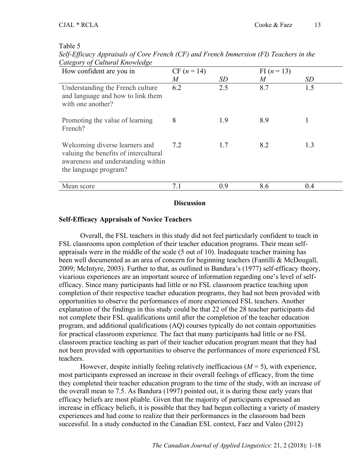| Self-Efficacy Appraisals of Core French (CF) and French Immersion (FI) Teachers in the |  |  |
|----------------------------------------------------------------------------------------|--|--|
| Category of Cultural Knowledge                                                         |  |  |

| Calegory of Callar at Into Meage                                                                                                       |                |     |                  |     |
|----------------------------------------------------------------------------------------------------------------------------------------|----------------|-----|------------------|-----|
| How confident are you in                                                                                                               | $CF (n = 14)$  |     | FI $(n = 13)$    |     |
|                                                                                                                                        | $\overline{M}$ | SD  | $\boldsymbol{M}$ | SD  |
| Understanding the French culture<br>and language and how to link them<br>with one another?                                             | 6.2            | 2.5 | 8.7              | 1.5 |
| Promoting the value of learning<br>French?                                                                                             | 8              | 1.9 | 8.9              |     |
| Welcoming diverse learners and<br>valuing the benefits of intercultural<br>awareness and understanding within<br>the language program? | 7.2            | 1.7 | 8.2              | 1.3 |
| Mean score                                                                                                                             | 7.1            | 0.9 | 8.6              | 0.4 |
|                                                                                                                                        |                |     |                  |     |

**Discussion**

## **Self-Efficacy Appraisals of Novice Teachers**

Overall, the FSL teachers in this study did not feel particularly confident to teach in FSL classrooms upon completion of their teacher education programs. Their mean selfappraisals were in the middle of the scale (5 out of 10). Inadequate teacher training has been well documented as an area of concern for beginning teachers (Fantilli & McDougall, 2009; McIntyre, 2003). Further to that, as outlined in Bandura's (1977) self-efficacy theory, vicarious experiences are an important source of information regarding one's level of selfefficacy. Since many participants had little or no FSL classroom practice teaching upon completion of their respective teacher education programs, they had not been provided with opportunities to observe the performances of more experienced FSL teachers. Another explanation of the findings in this study could be that 22 of the 28 teacher participants did not complete their FSL qualifications until after the completion of the teacher education program, and additional qualifications (AQ) courses typically do not contain opportunities for practical classroom experience. The fact that many participants had little or no FSL classroom practice teaching as part of their teacher education program meant that they had not been provided with opportunities to observe the performances of more experienced FSL teachers.

However, despite initially feeling relatively inefficacious  $(M = 5)$ , with experience, most participants expressed an increase in their overall feelings of efficacy, from the time they completed their teacher education program to the time of the study, with an increase of the overall mean to 7.5. As Bandura (1997) pointed out, it is during these early years that efficacy beliefs are most pliable. Given that the majority of participants expressed an increase in efficacy beliefs, it is possible that they had begun collecting a variety of mastery experiences and had come to realize that their performances in the classroom had been successful. In a study conducted in the Canadian ESL context, Faez and Valeo (2012)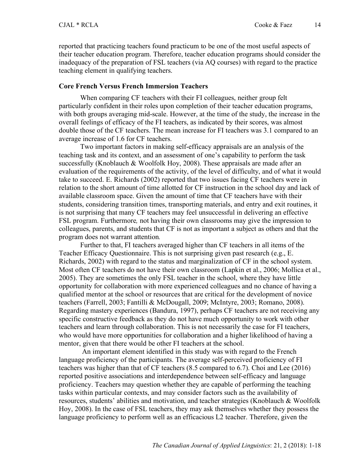reported that practicing teachers found practicum to be one of the most useful aspects of their teacher education program. Therefore, teacher education programs should consider the inadequacy of the preparation of FSL teachers (via AQ courses) with regard to the practice teaching element in qualifying teachers.

## **Core French Versus French Immersion Teachers**

When comparing CF teachers with their FI colleagues, neither group felt particularly confident in their roles upon completion of their teacher education programs, with both groups averaging mid-scale. However, at the time of the study, the increase in the overall feelings of efficacy of the FI teachers, as indicated by their scores, was almost double those of the CF teachers. The mean increase for FI teachers was 3.1 compared to an average increase of 1.6 for CF teachers.

Two important factors in making self-efficacy appraisals are an analysis of the teaching task and its context, and an assessment of one's capability to perform the task successfully (Knoblauch & Woolfolk Hoy, 2008). These appraisals are made after an evaluation of the requirements of the activity, of the level of difficulty, and of what it would take to succeed. E. Richards (2002) reported that two issues facing CF teachers were in relation to the short amount of time allotted for CF instruction in the school day and lack of available classroom space. Given the amount of time that CF teachers have with their students, considering transition times, transporting materials, and entry and exit routines, it is not surprising that many CF teachers may feel unsuccessful in delivering an effective FSL program. Furthermore*,* not having their own classrooms may give the impression to colleagues, parents, and students that CF is not as important a subject as others and that the program does not warrant attention*.*

Further to that, FI teachers averaged higher than CF teachers in all items of the Teacher Efficacy Questionnaire. This is not surprising given past research (e.g., E. Richards, 2002) with regard to the status and marginalization of CF in the school system. Most often CF teachers do not have their own classroom (Lapkin et al., 2006; Mollica et al., 2005). They are sometimes the only FSL teacher in the school, where they have little opportunity for collaboration with more experienced colleagues and no chance of having a qualified mentor at the school or resources that are critical for the development of novice teachers (Farrell, 2003; Fantilli & McDougall, 2009; McIntyre, 2003; Romano, 2008). Regarding mastery experiences (Bandura, 1997), perhaps CF teachers are not receiving any specific constructive feedback as they do not have much opportunity to work with other teachers and learn through collaboration. This is not necessarily the case for FI teachers, who would have more opportunities for collaboration and a higher likelihood of having a mentor, given that there would be other FI teachers at the school.

An important element identified in this study was with regard to the French language proficiency of the participants. The average self-perceived proficiency of FI teachers was higher than that of CF teachers (8.5 compared to 6.7). Choi and Lee (2016) reported positive associations and interdependence between self-efficacy and language proficiency. Teachers may question whether they are capable of performing the teaching tasks within particular contexts, and may consider factors such as the availability of resources, students' abilities and motivation, and teacher strategies (Knoblauch & Woolfolk Hoy, 2008). In the case of FSL teachers, they may ask themselves whether they possess the language proficiency to perform well as an efficacious L2 teacher. Therefore, given the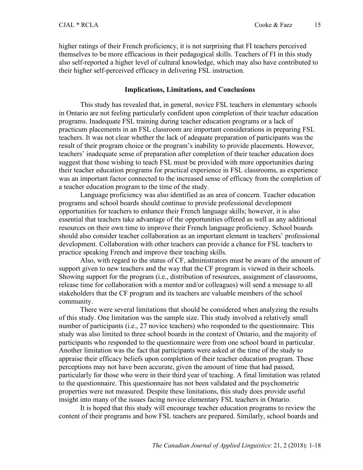15

higher ratings of their French proficiency, it is not surprising that FI teachers perceived themselves to be more efficacious in their pedagogical skills. Teachers of FI in this study also self-reported a higher level of cultural knowledge, which may also have contributed to their higher self-perceived efficacy in delivering FSL instruction.

### **Implications, Limitations, and Conclusions**

This study has revealed that, in general, novice FSL teachers in elementary schools in Ontario are not feeling particularly confident upon completion of their teacher education programs. Inadequate FSL training during teacher education programs or a lack of practicum placements in an FSL classroom are important considerations in preparing FSL teachers. It was not clear whether the lack of adequate preparation of participants was the result of their program choice or the program's inability to provide placements. However, teachers' inadequate sense of preparation after completion of their teacher education does suggest that those wishing to teach FSL must be provided with more opportunities during their teacher education programs for practical experience in FSL classrooms, as experience was an important factor connected to the increased sense of efficacy from the completion of a teacher education program to the time of the study.

Language proficiency was also identified as an area of concern. Teacher education programs and school boards should continue to provide professional development opportunities for teachers to enhance their French language skills; however, it is also essential that teachers take advantage of the opportunities offered as well as any additional resources on their own time to improve their French language proficiency. School boards should also consider teacher collaboration as an important element in teachers' professional development. Collaboration with other teachers can provide a chance for FSL teachers to practice speaking French and improve their teaching skills.

Also, with regard to the status of CF, administrators must be aware of the amount of support given to new teachers and the way that the CF program is viewed in their schools. Showing support for the program (i.e., distribution of resources, assignment of classrooms, release time for collaboration with a mentor and/or colleagues) will send a message to all stakeholders that the CF program and its teachers are valuable members of the school community.

There were several limitations that should be considered when analyzing the results of this study. One limitation was the sample size. This study involved a relatively small number of participants (i.e., 27 novice teachers) who responded to the questionnaire. This study was also limited to three school boards in the context of Ontario, and the majority of participants who responded to the questionnaire were from one school board in particular. Another limitation was the fact that participants were asked at the time of the study to appraise their efficacy beliefs upon completion of their teacher education program. These perceptions may not have been accurate, given the amount of time that had passed, particularly for those who were in their third year of teaching. A final limitation was related to the questionnaire. This questionnaire has not been validated and the psychometric properties were not measured. Despite these limitations, this study does provide useful insight into many of the issues facing novice elementary FSL teachers in Ontario.

It is hoped that this study will encourage teacher education programs to review the content of their programs and how FSL teachers are prepared. Similarly, school boards and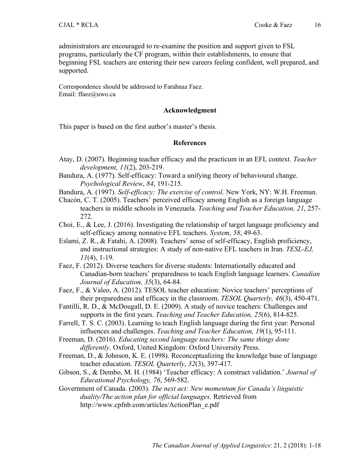administrators are encouraged to re-examine the position and support given to FSL programs, particularly the CF program, within their establishments, to ensure that beginning FSL teachers are entering their new careers feeling confident, well prepared, and supported.

Correspondence should be addressed to Farahnaz Faez. Email: ffaez@uwo.ca

## **Acknowledgment**

This paper is based on the first author's master's thesis.

## **References**

- Atay, D. (2007). Beginning teacher efficacy and the practicum in an EFL context. *Teacher development, 11*(2), 203-219.
- Bandura, A. (1977). Self-efficacy: Toward a unifying theory of behavioural change. *Psychological Review*, *84*, 191-215.

Bandura, A. (1997). *Self-efficacy: The exercise of control*. New York, NY: W.H. Freeman.

- Chacón, C. T. (2005). Teachers' perceived efficacy among English as a foreign language teachers in middle schools in Venezuela. *Teaching and Teacher Education, 21*, 257- 272.
- Choi, E., & Lee, J. (2016). Investigating the relationship of target language proficiency and self-efficacy among nonnative EFL teachers. *System*, *58*, 49-63.
- Eslami, Z. R., & Fatahi, A. (2008). Teachers' sense of self-efficacy, English proficiency, and instructional strategies: A study of non-native EFL teachers in Iran. *TESL-EJ, 11*(4), 1-19.
- Faez, F. (2012). Diverse teachers for diverse students: Internationally educated and Canadian-born teachers' preparedness to teach English language learners. *Canadian Journal of Education, 35*(3), 64-84.
- Faez, F., & Valeo, A. (2012). TESOL teacher education: Novice teachers' perceptions of their preparedness and efficacy in the classroom. *TESOL Quarterly, 46*(3), 450-471.
- Fantilli, R. D., & McDougall, D. E. (2009). A study of novice teachers: Challenges and supports in the first years. *Teaching and Teacher Education, 25*(6), 814-825.
- Farrell, T. S. C. (2003). Learning to teach English language during the first year: Personal influences and challenges. *Teaching and Teacher Education, 19*(1), 95-111.
- Freeman, D. (2016). *Educating second language teachers: The same things done differently*. Oxford, United Kingdom: Oxford University Press.
- Freeman, D., & Johnson, K. E. (1998). Reconceptualizing the knowledge base of language teacher education. *TESOL Quarterly*, *32*(3), 397-417.
- Gibson, S., & Dembo, M. H. (1984) 'Teacher efficacy: A construct validation.' *Journal of Educational Psychology, 76*, 569-582.
- Government of Canada. (2003). *The next act: New momentum for Canada's linguistic duality/The action plan for official languages*. Retrieved from http://www.cpfnb.com/articles/ActionPlan\_e.pdf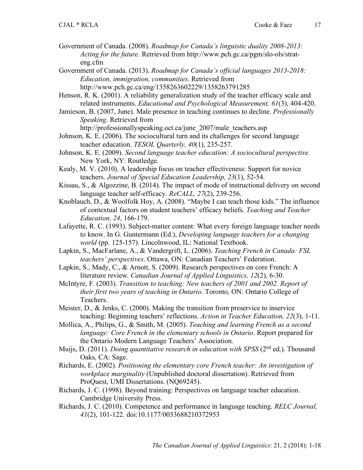Government of Canada. (2008). *Roadmap for Canada's linguistic duality 2008-2013: Acting for the future.* Retrieved from http://www.pch.gc.ca/pgm/slo-ols/strateng.cfm

Government of Canada. (2013). *Roadmap for Canada's official languages 2013-2018: Education, immigration, communities*. Retrieved from http://www.pch.gc.ca/eng/1358263602229/1358263791285

Henson, R. K. (2001). A reliability generalization study of the teacher efficacy scale and related instruments. *Educational and Psychological Measurement, 61*(3), 404-420.

Jamieson, B. (2007, June). Male presence in teaching continues to decline. *Professionally Speaking*. Retrieved from

http://professionallyspeaking.oct.ca/june\_2007/male\_teachers.asp

- Johnson, K. E. (2006). The sociocultural turn and its challenges for second language teacher education. *TESOL Quarterly, 40*(1), 235-257.
- Johnson, K. E. (2009). *Second language teacher education: A sociocultural perspective.*  New York, NY: Routledge.
- Kealy, M. V. (2010). A leadership focus on teacher effectiveness: Support for novice teachers. *Journal of Special Education Leadership, 23*(1), 52-54.
- Kissau, S., & Algozzine, B. (2014). The impact of mode of instructional delivery on second language teacher self-efficacy. *ReCALL, 27*(2), 239-256.
- Knoblauch, D., & Woolfolk Hoy, A. (2008). "Maybe I can teach those kids." The influence of contextual factors on student teachers' efficacy beliefs. *Teaching and Teacher Education, 24*, 166-179.
- Lafayette, R. C. (1993). Subject-matter content: What every foreign language teacher needs to know. In G. Guntermann (Ed.), *Developing language teachers for a changing world* (pp. 125-157). Lincolnwood, IL: National Textbook.
- Lapkin, S., MacFarlane, A., & Vandergrift, L. (2006). *Teaching French in Canada: FSL teachers' perspectives*. Ottawa, ON: Canadian Teachers' Federation.
- Lapkin, S., Mady, C., & Arnott, S. (2009). Research perspectives on core French: A literature review. *Canadian Journal of Applied Linguistics, 12*(2), 6-30.
- McIntyre, F. (2003). *Transition to teaching: New teachers of 2001 and 2002. Report of their first two years of teaching in Ontario*. Toronto, ON: Ontario College of Teachers.
- Meister, D., & Jenks, C. (2000). Making the transition from preservice to inservice teaching: Beginning teachers' reflections. *Action in Teacher Education, 22*(3), 1-11.
- Mollica, A., Philips, G., & Smith, M. (2005). *Teaching and learning French as a second language: Core French in the elementary schools in Ontario. Report prepared for* the Ontario Modern Language Teachers' Association.
- Muijs, D. (2011). *Doing quantitative research in education with SPSS* (2<sup>nd</sup> ed.). Thousand Oaks, CA: Sage.
- Richards, E. (2002). *Positioning the elementary core French teacher: An investigation of workplace marginality* (Unpublished doctoral dissertation). Retrieved from ProQuest, UMI Dissertations. (NQ69245).
- Richards, J. C. (1998). Beyond training: Perspectives on language teacher education. Cambridge University Press.
- Richards, J. C. (2010). Competence and performance in language teaching. *RELC Journal, 41*(2), 101-122. doi:10.1177/0033688210372953